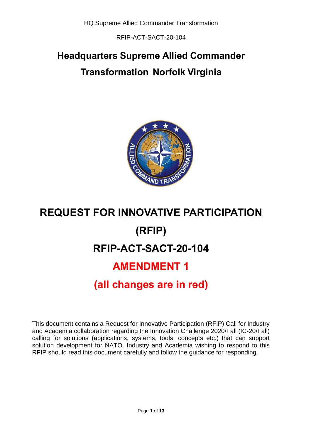RFIP-ACT-SACT-20-104

# **Headquarters Supreme Allied Commander Transformation Norfolk Virginia**



# **REQUEST FOR INNOVATIVE PARTICIPATION (RFIP) RFIP-ACT-SACT-20-104 AMENDMENT 1 (all changes are in red)**

This document contains a Request for Innovative Participation (RFIP) Call for Industry and Academia collaboration regarding the Innovation Challenge 2020/Fall (IC-20/Fall) calling for solutions (applications, systems, tools, concepts etc.) that can support solution development for NATO. Industry and Academia wishing to respond to this RFIP should read this document carefully and follow the guidance for responding.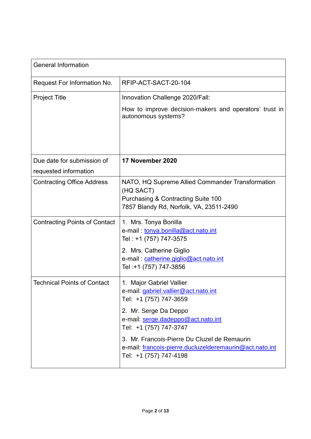| <b>General Information</b>           |                                                                                                                                                                                                                                                                                                                          |
|--------------------------------------|--------------------------------------------------------------------------------------------------------------------------------------------------------------------------------------------------------------------------------------------------------------------------------------------------------------------------|
| Request For Information No.          | RFIP-ACT-SACT-20-104                                                                                                                                                                                                                                                                                                     |
| <b>Project Title</b>                 | Innovation Challenge 2020/Fall:                                                                                                                                                                                                                                                                                          |
|                                      | How to improve decision-makers and operators' trust in<br>autonomous systems?                                                                                                                                                                                                                                            |
| Due date for submission of           | 17 November 2020                                                                                                                                                                                                                                                                                                         |
| requested information                |                                                                                                                                                                                                                                                                                                                          |
| <b>Contracting Office Address</b>    | NATO, HQ Supreme Allied Commander Transformation<br>(HQ SACT)<br>Purchasing & Contracting Suite 100<br>7857 Blandy Rd, Norfolk, VA, 23511-2490                                                                                                                                                                           |
| <b>Contracting Points of Contact</b> | 1. Mrs. Tonya Bonilla<br>e-mail: tonya.bonilla@act.nato.int<br>Tel: +1 (757) 747-3575<br>2. Mrs. Catherine Giglio<br>e-mail: catherine.giglio@act.nato.int<br>Tel: +1 (757) 747-3856                                                                                                                                     |
| <b>Technical Points of Contact</b>   | 1. Major Gabriel Vallier<br>e-mail: gabriel.vallier@act.nato.int<br>Tel: +1 (757) 747-3659<br>2. Mr. Serge Da Deppo<br>e-mail: serge.dadeppo@act.nato.int<br>Tel: +1 (757) 747-3747<br>3. Mr. Francois-Pierre Du Cluzel de Remaurin<br>e-mail: francois-pierre.ducluzelderemaurin@act.nato.int<br>Tel: +1 (757) 747-4198 |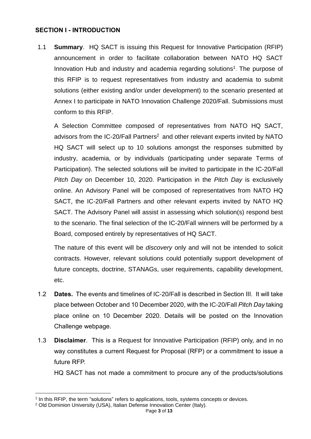#### **SECTION I - INTRODUCTION**

1.1 **Summary**. HQ SACT is issuing this Request for Innovative Participation (RFIP) announcement in order to facilitate collaboration between NATO HQ SACT Innovation Hub and industry and academia regarding solutions<sup>1</sup>. The purpose of this RFIP is to request representatives from industry and academia to submit solutions (either existing and/or under development) to the scenario presented at Annex I to participate in NATO Innovation Challenge 2020/Fall. Submissions must conform to this RFIP.

A Selection Committee composed of representatives from NATO HQ SACT, advisors from the IC-20/Fall Partners<sup>2</sup> and other relevant experts invited by NATO HQ SACT will select up to 10 solutions amongst the responses submitted by industry, academia, or by individuals (participating under separate Terms of Participation). The selected solutions will be invited to participate in the IC-20/Fall *Pitch Day* on December 10, 2020. Participation in the *Pitch Day* is exclusively online. An Advisory Panel will be composed of representatives from NATO HQ SACT, the IC-20/Fall Partners and other relevant experts invited by NATO HQ SACT. The Advisory Panel will assist in assessing which solution(s) respond best to the scenario. The final selection of the IC-20/Fall winners will be performed by a Board, composed entirely by representatives of HQ SACT.

The nature of this event will be *discovery* only and will not be intended to solicit contracts. However, relevant solutions could potentially support development of future concepts, doctrine, STANAGs, user requirements, capability development, etc.

- 1.2 **Dates.** The events and timelines of IC-20/Fall is described in Section III. It will take place between October and 10 December 2020, with the IC-20/Fall *Pitch Day* taking place online on 10 December 2020. Details will be posted on the Innovation Challenge webpage.
- 1.3 **Disclaimer**. This is a Request for Innovative Participation (RFIP) only, and in no way constitutes a current Request for Proposal (RFP) or a commitment to issue a future RFP.

HQ SACT has not made a commitment to procure any of the products/solutions

 $\overline{a}$ 

<sup>1</sup> In this RFIP, the term "solutions" refers to applications, tools, systems concepts or devices.

<sup>2</sup> Old Dominion University (USA), Italian Defense Innovation Center (Italy).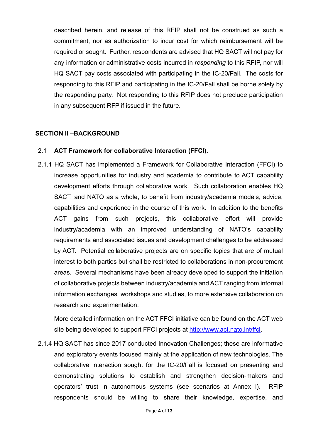described herein, and release of this RFIP shall not be construed as such a commitment, nor as authorization to incur cost for which reimbursement will be required or sought. Further, respondents are advised that HQ SACT will not pay for any information or administrative costs incurred in *responding* to this RFIP, nor will HQ SACT pay costs associated with participating in the IC-20/Fall. The costs for responding to this RFIP and participating in the IC-20/Fall shall be borne solely by the responding party. Not responding to this RFIP does not preclude participation in any subsequent RFP if issued in the future.

#### **SECTION II –BACKGROUND**

#### 2.1 **ACT Framework for collaborative Interaction (FFCI).**

2.1.1 HQ SACT has implemented a Framework for Collaborative Interaction (FFCI) to increase opportunities for industry and academia to contribute to ACT capability development efforts through collaborative work. Such collaboration enables HQ SACT, and NATO as a whole, to benefit from industry/academia models, advice, capabilities and experience in the course of this work. In addition to the benefits ACT gains from such projects, this collaborative effort will provide industry/academia with an improved understanding of NATO's capability requirements and associated issues and development challenges to be addressed by ACT. Potential collaborative projects are on specific topics that are of mutual interest to both parties but shall be restricted to collaborations in non-procurement areas. Several mechanisms have been already developed to support the initiation of collaborative projects between industry/academia and ACT ranging from informal information exchanges, workshops and studies, to more extensive collaboration on research and experimentation.

More detailed information on the ACT FFCI initiative can be found on the ACT web site being developed to support FFCI projects at [http://www.act.nato.int/ffci.](http://www.act.nato.int/ffci)

2.1.4 HQ SACT has since 2017 conducted Innovation Challenges; these are informative and exploratory events focused mainly at the application of new technologies. The collaborative interaction sought for the IC-20/Fall is focused on presenting and demonstrating solutions to establish and strengthen decision-makers and operators' trust in autonomous systems (see scenarios at Annex I). RFIP respondents should be willing to share their knowledge, expertise, and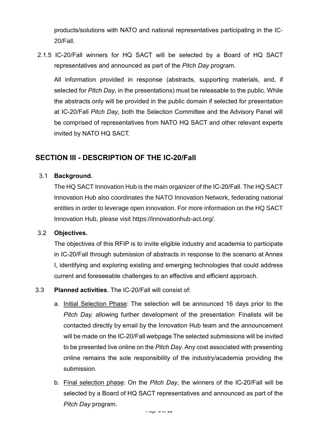products/solutions with NATO and national representatives participating in the IC-20/Fall.

2.1.5 IC-20/Fall winners for HQ SACT will be selected by a Board of HQ SACT representatives and announced as part of the *Pitch Day* program.

All information provided in response (abstracts, supporting materials, and, if selected for *Pitch Day*, in the presentations) must be releasable to the public. While the abstracts only will be provided in the public domain if selected for presentation at IC-20/Fall *Pitch Day*, both the Selection Committee and the Advisory Panel will be comprised of representatives from NATO HQ SACT and other relevant experts invited by NATO HQ SACT.

## **SECTION III - DESCRIPTION OF THE IC-20/Fall**

#### 3.1 **Background.**

The HQ SACT Innovation Hub is the main organizer of the IC-20/Fall. The HQ SACT Innovation Hub also coordinates the NATO Innovation Network, federating national entities in order to leverage open innovation. For more information on the HQ SACT Innovation Hub, please visit https://innovationhub-act.org/.

#### 3.2 **Objectives.**

The objectives of this RFIP is to invite eligible industry and academia to participate in IC-20/Fall through submission of abstracts in response to the scenario at Annex I, identifying and exploring existing and emerging technologies that could address current and foreseeable challenges to an effective and efficient approach.

- 3.3 **Planned activities**. The IC-20/Fall will consist of:
	- a. Initial Selection Phase: The selection will be announced 16 days prior to the *Pitch Day,* allowing further development of the presentation Finalists will be contacted directly by email by the Innovation Hub team and the announcement will be made on the IC-20/Fall webpage The selected submissions will be invited to be presented live online on the *Pitch Day*. Any cost associated with presenting online remains the sole responsibility of the industry/academia providing the submission.
	- b. Final selection phase: On the *Pitch Day*, the winners of the IC-20/Fall will be selected by a Board of HQ SACT representatives and announced as part of the *Pitch Day* program.

Page **5** of **13**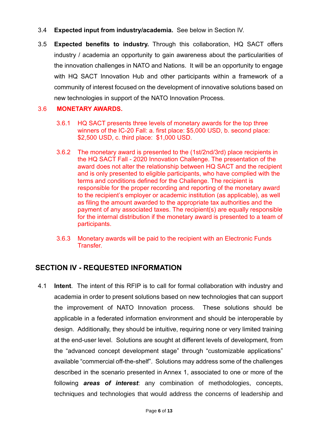#### 3.4 **Expected input from industry/academia.** See below in Section IV.

3.5 **Expected benefits to industry.** Through this collaboration, HQ SACT offers industry / academia an opportunity to gain awareness about the particularities of the innovation challenges in NATO and Nations. It will be an opportunity to engage with HQ SACT Innovation Hub and other participants within a framework of a community of interest focused on the development of innovative solutions based on new technologies in support of the NATO Innovation Process.

#### 3.6 **MONETARY AWARDS.**

- 3.6.1 HQ SACT presents three levels of monetary awards for the top three winners of the IC-20 Fall: a. first place: \$5,000 USD, b. second place: \$2,500 USD, c. third place: \$1,000 USD.
- 3.6.2 The monetary award is presented to the (1st/2nd/3rd) place recipients in the HQ SACT Fall - 2020 Innovation Challenge. The presentation of the award does not alter the relationship between HQ SACT and the recipient and is only presented to eligible participants, who have complied with the terms and conditions defined for the Challenge. The recipient is responsible for the proper recording and reporting of the monetary award to the recipient's employer or academic institution (as applicable), as well as filing the amount awarded to the appropriate tax authorities and the payment of any associated taxes. The recipient(s) are equally responsible for the internal distribution if the monetary award is presented to a team of participants.
- 3.6.3 Monetary awards will be paid to the recipient with an Electronic Funds Transfer.

### **SECTION IV - REQUESTED INFORMATION**

4.1 **Intent**. The intent of this RFIP is to call for formal collaboration with industry and academia in order to present solutions based on new technologies that can support the improvement of NATO Innovation process. These solutions should be applicable in a federated information environment and should be interoperable by design. Additionally, they should be intuitive, requiring none or very limited training at the end-user level. Solutions are sought at different levels of development, from the "advanced concept development stage" through "customizable applications" available "commercial off-the-shelf". Solutions may address some of the challenges described in the scenario presented in Annex 1, associated to one or more of the following *areas of interest*: any combination of methodologies, concepts, techniques and technologies that would address the concerns of leadership and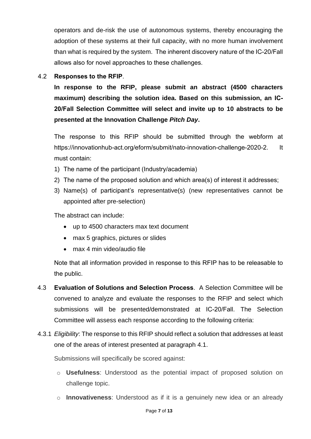operators and de-risk the use of autonomous systems, thereby encouraging the adoption of these systems at their full capacity, with no more human involvement than what is required by the system. The inherent discovery nature of the IC-20/Fall allows also for novel approaches to these challenges.

#### 4.2 **Responses to the RFIP**.

**In response to the RFIP, please submit an abstract (4500 characters maximum) describing the solution idea. Based on this submission, an IC-20/Fall Selection Committee will select and invite up to 10 abstracts to be presented at the Innovation Challenge** *Pitch Day***.**

The response to this RFIP should be submitted through the webform at https://innovationhub-act.org/eform/submit/nato-innovation-challenge-2020-2. It must contain:

- 1) The name of the participant (Industry/academia)
- 2) The name of the proposed solution and which area(s) of interest it addresses;
- 3) Name(s) of participant's representative(s) (new representatives cannot be appointed after pre-selection)

The abstract can include:

- up to 4500 characters max text document
- max 5 graphics, pictures or slides
- max 4 min video/audio file

Note that all information provided in response to this RFIP has to be releasable to the public.

- 4.3 **Evaluation of Solutions and Selection Process**. A Selection Committee will be convened to analyze and evaluate the responses to the RFIP and select which submissions will be presented/demonstrated at IC-20/Fall. The Selection Committee will assess each response according to the following criteria:
- 4.3.1 *Eligibility*: The response to this RFIP should reflect a solution that addresses at least one of the areas of interest presented at paragraph 4.1.

Submissions will specifically be scored against:

- o **Usefulness**: Understood as the potential impact of proposed solution on challenge topic.
- o **Innovativeness**: Understood as if it is a genuinely new idea or an already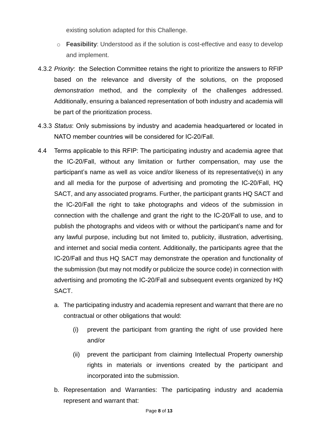existing solution adapted for this Challenge.

- o **Feasibility**: Understood as if the solution is cost-effective and easy to develop and implement.
- 4.3.2 *Priority*: the Selection Committee retains the right to prioritize the answers to RFIP based on the relevance and diversity of the solutions, on the proposed *demonstration* method, and the complexity of the challenges addressed. Additionally, ensuring a balanced representation of both industry and academia will be part of the prioritization process.
- 4.3.3 *Status*: Only submissions by industry and academia headquartered or located in NATO member countries will be considered for IC-20/Fall.
- 4.4 Terms applicable to this RFIP: The participating industry and academia agree that the IC-20/Fall, without any limitation or further compensation, may use the participant's name as well as voice and/or likeness of its representative(s) in any and all media for the purpose of advertising and promoting the IC-20/Fall, HQ SACT, and any associated programs. Further, the participant grants HQ SACT and the IC-20/Fall the right to take photographs and videos of the submission in connection with the challenge and grant the right to the IC-20/Fall to use, and to publish the photographs and videos with or without the participant's name and for any lawful purpose, including but not limited to, publicity, illustration, advertising, and internet and social media content. Additionally, the participants agree that the IC-20/Fall and thus HQ SACT may demonstrate the operation and functionality of the submission (but may not modify or publicize the source code) in connection with advertising and promoting the IC-20/Fall and subsequent events organized by HQ SACT.
	- a. The participating industry and academia represent and warrant that there are no contractual or other obligations that would:
		- (i) prevent the participant from granting the right of use provided here and/or
		- (ii) prevent the participant from claiming Intellectual Property ownership rights in materials or inventions created by the participant and incorporated into the submission.
	- b. Representation and Warranties: The participating industry and academia represent and warrant that: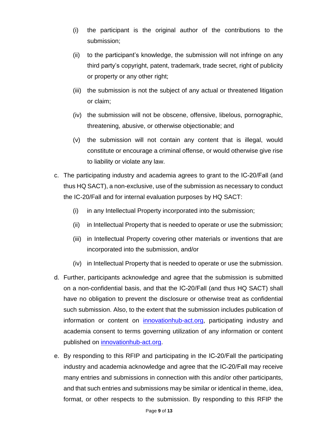- (i) the participant is the original author of the contributions to the submission;
- (ii) to the participant's knowledge, the submission will not infringe on any third party's copyright, patent, trademark, trade secret, right of publicity or property or any other right;
- (iii) the submission is not the subject of any actual or threatened litigation or claim;
- (iv) the submission will not be obscene, offensive, libelous, pornographic, threatening, abusive, or otherwise objectionable; and
- (v) the submission will not contain any content that is illegal, would constitute or encourage a criminal offense, or would otherwise give rise to liability or violate any law.
- c. The participating industry and academia agrees to grant to the IC-20/Fall (and thus HQ SACT), a non-exclusive, use of the submission as necessary to conduct the IC-20/Fall and for internal evaluation purposes by HQ SACT:
	- (i) in any Intellectual Property incorporated into the submission;
	- (ii) in Intellectual Property that is needed to operate or use the submission;
	- (iii) in Intellectual Property covering other materials or inventions that are incorporated into the submission, and/or
	- (iv) in Intellectual Property that is needed to operate or use the submission.
- d. Further, participants acknowledge and agree that the submission is submitted on a non-confidential basis, and that the IC-20/Fall (and thus HQ SACT) shall have no obligation to prevent the disclosure or otherwise treat as confidential such submission. Also, to the extent that the submission includes publication of information or content on [innovationhub-act.org,](https://www.innovationhub-act.org/) participating industry and academia consent to terms governing utilization of any information or content published on [innovationhub-act.org.](https://www.innovationhub-act.org/)
- e. By responding to this RFIP and participating in the IC-20/Fall the participating industry and academia acknowledge and agree that the IC-20/Fall may receive many entries and submissions in connection with this and/or other participants, and that such entries and submissions may be similar or identical in theme, idea, format, or other respects to the submission. By responding to this RFIP the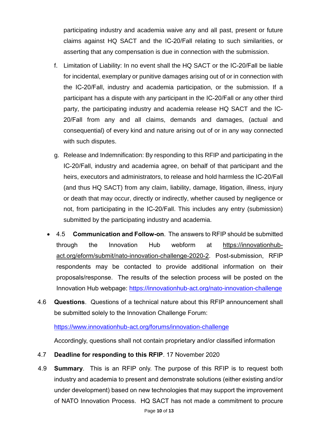participating industry and academia waive any and all past, present or future claims against HQ SACT and the IC-20/Fall relating to such similarities, or asserting that any compensation is due in connection with the submission.

- f. Limitation of Liability: In no event shall the HQ SACT or the IC-20/Fall be liable for incidental, exemplary or punitive damages arising out of or in connection with the IC-20/Fall, industry and academia participation, or the submission. If a participant has a dispute with any participant in the IC-20/Fall or any other third party, the participating industry and academia release HQ SACT and the IC-20/Fall from any and all claims, demands and damages, (actual and consequential) of every kind and nature arising out of or in any way connected with such disputes.
- g. Release and Indemnification: By responding to this RFIP and participating in the IC-20/Fall, industry and academia agree, on behalf of that participant and the heirs, executors and administrators, to release and hold harmless the IC-20/Fall (and thus HQ SACT) from any claim, liability, damage, litigation, illness, injury or death that may occur, directly or indirectly, whether caused by negligence or not, from participating in the IC-20/Fall. This includes any entry (submission) submitted by the participating industry and academia.
- 4.5 **Communication and Follow-on**. The answers to RFIP should be submitted through the Innovation Hub webform at https://innovationhubact.org/eform/submit/nato-innovation-challenge-2020-2. Post-submission, RFIP respondents may be contacted to provide additional information on their proposals/response. The results of the selection process will be posted on the Innovation Hub webpage: <https://innovationhub-act.org/nato-innovation-challenge>
- 4.6 **Questions**. Questions of a technical nature about this RFIP announcement shall be submitted solely to the Innovation Challenge Forum:

#### <https://www.innovationhub-act.org/forums/innovation-challenge>

Accordingly, questions shall not contain proprietary and/or classified information

- 4.7 **Deadline for responding to this RFIP**. 17 November 2020
- 4.9 **Summary**. This is an RFIP only. The purpose of this RFIP is to request both industry and academia to present and demonstrate solutions (either existing and/or under development) based on new technologies that may support the improvement of NATO Innovation Process. HQ SACT has not made a commitment to procure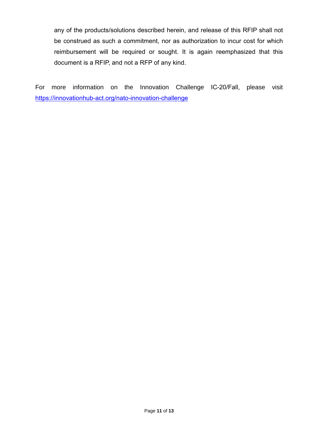any of the products/solutions described herein, and release of this RFIP shall not be construed as such a commitment, nor as authorization to incur cost for which reimbursement will be required or sought. It is again reemphasized that this document is a RFIP, and not a RFP of any kind.

For more information on the Innovation Challenge IC-20/Fall, please visit <https://innovationhub-act.org/nato-innovation-challenge>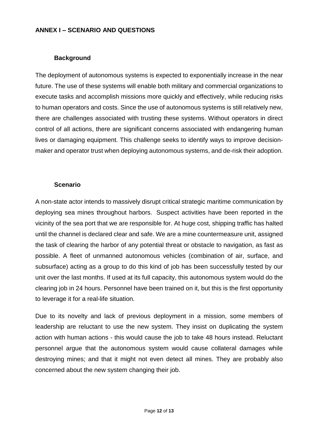#### **ANNEX I – SCENARIO AND QUESTIONS**

#### **Background**

The deployment of autonomous systems is expected to exponentially increase in the near future. The use of these systems will enable both military and commercial organizations to execute tasks and accomplish missions more quickly and effectively, while reducing risks to human operators and costs. Since the use of autonomous systems is still relatively new, there are challenges associated with trusting these systems. Without operators in direct control of all actions, there are significant concerns associated with endangering human lives or damaging equipment. This challenge seeks to identify ways to improve decisionmaker and operator trust when deploying autonomous systems, and de-risk their adoption.

#### **Scenario**

A non-state actor intends to massively disrupt critical strategic maritime communication by deploying sea mines throughout harbors. Suspect activities have been reported in the vicinity of the sea port that we are responsible for. At huge cost, shipping traffic has halted until the channel is declared clear and safe. We are a mine countermeasure unit, assigned the task of clearing the harbor of any potential threat or obstacle to navigation, as fast as possible. A fleet of unmanned autonomous vehicles (combination of air, surface, and subsurface) acting as a group to do this kind of job has been successfully tested by our unit over the last months. If used at its full capacity, this autonomous system would do the clearing job in 24 hours. Personnel have been trained on it, but this is the first opportunity to leverage it for a real-life situation.

Due to its novelty and lack of previous deployment in a mission, some members of leadership are reluctant to use the new system. They insist on duplicating the system action with human actions - this would cause the job to take 48 hours instead. Reluctant personnel argue that the autonomous system would cause collateral damages while destroying mines; and that it might not even detect all mines. They are probably also concerned about the new system changing their job.